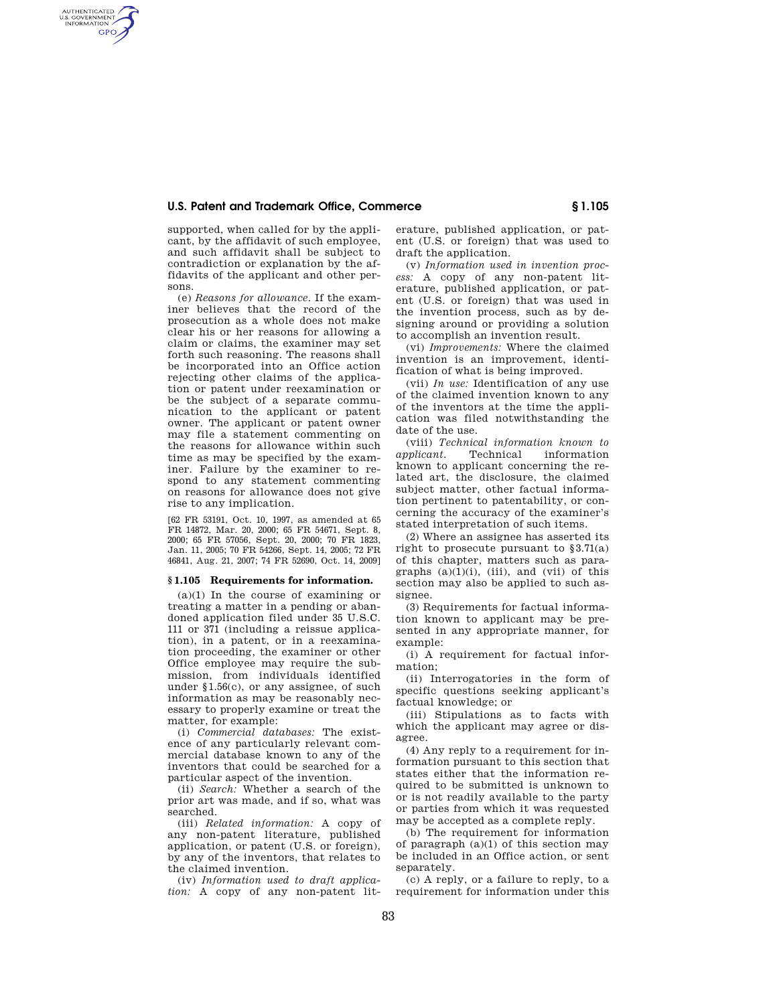# **U.S. Patent and Trademark Office, Commerce § 1.105**

supported, when called for by the applicant, by the affidavit of such employee, and such affidavit shall be subject to contradiction or explanation by the affidavits of the applicant and other persons.

AUTHENTICATED<br>U.S. GOVERNMENT<br>INFORMATION **GPO** 

> (e) *Reasons for allowance*. If the examiner believes that the record of the prosecution as a whole does not make clear his or her reasons for allowing a claim or claims, the examiner may set forth such reasoning. The reasons shall be incorporated into an Office action rejecting other claims of the application or patent under reexamination or be the subject of a separate communication to the applicant or patent owner. The applicant or patent owner may file a statement commenting on the reasons for allowance within such time as may be specified by the examiner. Failure by the examiner to respond to any statement commenting on reasons for allowance does not give rise to any implication.

> [62 FR 53191, Oct. 10, 1997, as amended at 65 FR 14872, Mar. 20, 2000; 65 FR 54671, Sept. 8, 2000; 65 FR 57056, Sept. 20, 2000; 70 FR 1823, Jan. 11, 2005; 70 FR 54266, Sept. 14, 2005; 72 FR 46841, Aug. 21, 2007; 74 FR 52690, Oct. 14, 2009]

### **§ 1.105 Requirements for information.**

(a)(1) In the course of examining or treating a matter in a pending or abandoned application filed under 35 U.S.C. 111 or 371 (including a reissue application), in a patent, or in a reexamination proceeding, the examiner or other Office employee may require the submission, from individuals identified under §1.56(c), or any assignee, of such information as may be reasonably necessary to properly examine or treat the matter, for example:

(i) *Commercial databases:* The existence of any particularly relevant commercial database known to any of the inventors that could be searched for a particular aspect of the invention.

(ii) *Search:* Whether a search of the prior art was made, and if so, what was searched.

(iii) *Related information:* A copy of any non-patent literature, published application, or patent (U.S. or foreign), by any of the inventors, that relates to the claimed invention.

(iv) *Information used to draft application:* A copy of any non-patent literature, published application, or patent (U.S. or foreign) that was used to draft the application.

(v) *Information used in invention process:* A copy of any non-patent literature, published application, or patent (U.S. or foreign) that was used in the invention process, such as by designing around or providing a solution to accomplish an invention result.

(vi) *Improvements:* Where the claimed invention is an improvement, identification of what is being improved.

(vii) *In use:* Identification of any use of the claimed invention known to any of the inventors at the time the application was filed notwithstanding the date of the use.

(viii) *Technical information known to applicant.* Technical information known to applicant concerning the related art, the disclosure, the claimed subject matter, other factual information pertinent to patentability, or concerning the accuracy of the examiner's stated interpretation of such items.

(2) Where an assignee has asserted its right to prosecute pursuant to §3.71(a) of this chapter, matters such as paragraphs  $(a)(1)(i)$ ,  $(iii)$ , and  $(vii)$  of this section may also be applied to such assignee.

(3) Requirements for factual information known to applicant may be presented in any appropriate manner, for example:

(i) A requirement for factual information;

(ii) Interrogatories in the form of specific questions seeking applicant's factual knowledge; or

(iii) Stipulations as to facts with which the applicant may agree or disagree.

(4) Any reply to a requirement for information pursuant to this section that states either that the information required to be submitted is unknown to or is not readily available to the party or parties from which it was requested may be accepted as a complete reply.

(b) The requirement for information of paragraph  $(a)(1)$  of this section may be included in an Office action, or sent separately.

(c) A reply, or a failure to reply, to a requirement for information under this